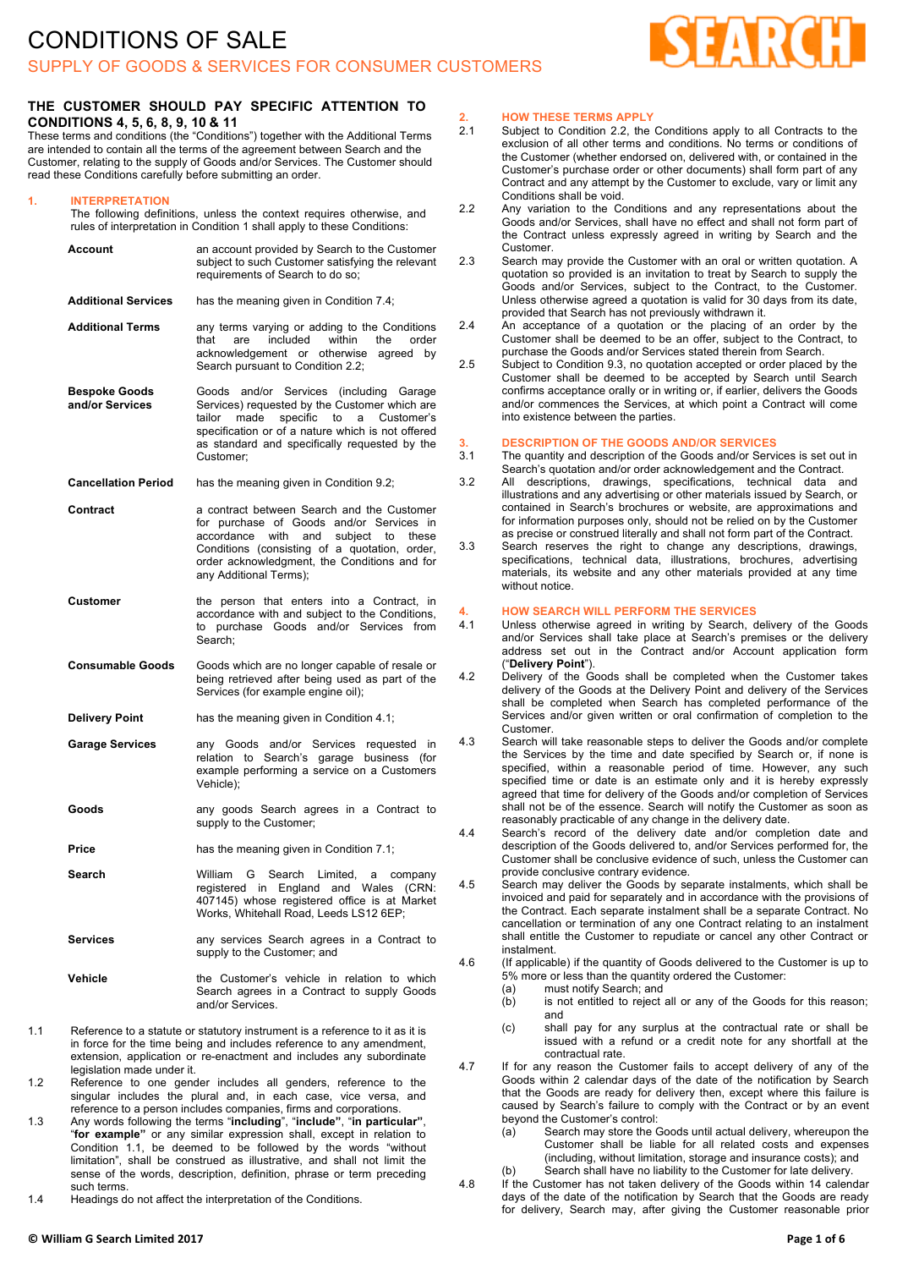

### **THE CUSTOMER SHOULD PAY SPECIFIC ATTENTION TO CONDITIONS 4, 5, 6, 8, 9, 10 & 11**

These terms and conditions (the "Conditions") together with the Additional Terms are intended to contain all the terms of the agreement between Search and the Customer, relating to the supply of Goods and/or Services. The Customer should read these Conditions carefully before submitting an order.

#### **1. INTERPRETATION**

The following definitions, unless the context requires otherwise, and rules of interpretation in Condition 1 shall apply to these Conditions:

|     | Account                                 | an account provided by Search to the Customer<br>subject to such Customer satisfying the relevant<br>requirements of Search to do so;                                                                                                                                    |
|-----|-----------------------------------------|--------------------------------------------------------------------------------------------------------------------------------------------------------------------------------------------------------------------------------------------------------------------------|
|     | <b>Additional Services</b>              | has the meaning given in Condition 7.4;                                                                                                                                                                                                                                  |
|     | <b>Additional Terms</b>                 | any terms varying or adding to the Conditions<br>included<br>within<br>that<br>the<br>order<br>are<br>acknowledgement or otherwise<br>agreed by<br>Search pursuant to Condition 2.2;                                                                                     |
|     | <b>Bespoke Goods</b><br>and/or Services | and/or Services<br>Goods<br>(including Garage<br>Services) requested by the Customer which are<br>specific<br>tailor<br>made<br>to<br>a<br>Customer's<br>specification or of a nature which is not offered<br>as standard and specifically requested by the<br>Customer: |
|     | <b>Cancellation Period</b>              | has the meaning given in Condition 9.2;                                                                                                                                                                                                                                  |
|     | Contract                                | a contract between Search and the Customer<br>for purchase of Goods and/or Services in<br>subject<br>accordance<br>with<br>and<br>to<br>these<br>Conditions (consisting of a quotation, order,<br>order acknowledgment, the Conditions and for<br>any Additional Terms); |
|     | <b>Customer</b>                         | the person that enters into a Contract, in<br>accordance with and subject to the Conditions,<br>to purchase Goods and/or Services<br>from<br>Search:                                                                                                                     |
|     | <b>Consumable Goods</b>                 | Goods which are no longer capable of resale or<br>being retrieved after being used as part of the<br>Services (for example engine oil);                                                                                                                                  |
|     | <b>Delivery Point</b>                   | has the meaning given in Condition 4.1;                                                                                                                                                                                                                                  |
|     | <b>Garage Services</b>                  | any Goods and/or Services requested<br>in.<br>relation to Search's garage business (for<br>example performing a service on a Customers<br>Vehicle);                                                                                                                      |
|     | Goods                                   | any goods Search agrees in a Contract to<br>supply to the Customer;                                                                                                                                                                                                      |
|     | Price                                   | has the meaning given in Condition 7.1;                                                                                                                                                                                                                                  |
|     | Search                                  | William<br>G<br>Search<br>Limited.<br>company<br>а<br>registered in<br>England and Wales<br>(CRN)<br>407145) whose registered office is at Market<br>Works, Whitehall Road, Leeds LS12 6EP;                                                                              |
|     | <b>Services</b>                         | any services Search agrees in a Contract to<br>supply to the Customer; and                                                                                                                                                                                               |
|     | Vehicle                                 | the Customer's vehicle in relation to which<br>Search agrees in a Contract to supply Goods<br>and/or Services.                                                                                                                                                           |
| 1.1 | legislation made under it.              | Reference to a statute or statutory instrument is a reference to it as it is<br>in force for the time being and includes reference to any amendment,<br>extension, application or re-enactment and includes any subordinate                                              |
| 1.2 |                                         | Reference to one gender includes all genders, reference to the<br>cinquier included the plural and in each case                                                                                                                                                          |

- singular includes the plural and, in each case, vice versa, and reference to a person includes companies, firms and corporations. 1.3 Any words following the terms "**including**", "**include"**, "**in particular"**,
- "**for example"** or any similar expression shall, except in relation to Condition 1.1, be deemed to be followed by the words "without limitation", shall be construed as illustrative, and shall not limit the sense of the words, description, definition, phrase or term preceding such terms.
- 1.4 Headings do not affect the interpretation of the Conditions.

# **2. HOW THESE TERMS APPLY**

- Subject to Condition 2.2, the Conditions apply to all Contracts to the exclusion of all other terms and conditions. No terms or conditions of the Customer (whether endorsed on, delivered with, or contained in the Customer's purchase order or other documents) shall form part of any Contract and any attempt by the Customer to exclude, vary or limit any Conditions shall be void.
- 2.2 Any variation to the Conditions and any representations about the Goods and/or Services, shall have no effect and shall not form part of the Contract unless expressly agreed in writing by Search and the Customer.
- 2.3 Search may provide the Customer with an oral or written quotation. A quotation so provided is an invitation to treat by Search to supply the Goods and/or Services, subject to the Contract, to the Customer. Unless otherwise agreed a quotation is valid for 30 days from its date, provided that Search has not previously withdrawn it.
- 2.4 An acceptance of a quotation or the placing of an order by the Customer shall be deemed to be an offer, subject to the Contract, to purchase the Goods and/or Services stated therein from Search.
- 2.5 Subject to Condition 9.3, no quotation accepted or order placed by the Customer shall be deemed to be accepted by Search until Search confirms acceptance orally or in writing or, if earlier, delivers the Goods and/or commences the Services, at which point a Contract will come into existence between the parties.

## **3. DESCRIPTION OF THE GOODS AND/OR SERVICES**

The quantity and description of the Goods and/or Services is set out in Search's quotation and/or order acknowledgement and the Contract.

- 3.2 All descriptions, drawings, specifications, technical data and illustrations and any advertising or other materials issued by Search, or contained in Search's brochures or website, are approximations and for information purposes only, should not be relied on by the Customer as precise or construed literally and shall not form part of the Contract.
- 3.3 Search reserves the right to change any descriptions, drawings, specifications, technical data, illustrations, brochures, advertising materials, its website and any other materials provided at any time without notice.

#### **4. HOW SEARCH WILL PERFORM THE SERVICES**

- 4.1 Unless otherwise agreed in writing by Search, delivery of the Goods and/or Services shall take place at Search's premises or the delivery address set out in the Contract and/or Account application form ("**Delivery Point**").
- 4.2 Delivery of the Goods shall be completed when the Customer takes delivery of the Goods at the Delivery Point and delivery of the Services shall be completed when Search has completed performance of the Services and/or given written or oral confirmation of completion to the Customer.
- 4.3 Search will take reasonable steps to deliver the Goods and/or complete the Services by the time and date specified by Search or, if none is specified, within a reasonable period of time. However, any such specified time or date is an estimate only and it is hereby expressly agreed that time for delivery of the Goods and/or completion of Services shall not be of the essence. Search will notify the Customer as soon as reasonably practicable of any change in the delivery date.
- 4.4 Search's record of the delivery date and/or completion date and description of the Goods delivered to, and/or Services performed for, the Customer shall be conclusive evidence of such, unless the Customer can provide conclusive contrary evidence.
- 4.5 Search may deliver the Goods by separate instalments, which shall be invoiced and paid for separately and in accordance with the provisions of the Contract. Each separate instalment shall be a separate Contract. No cancellation or termination of any one Contract relating to an instalment shall entitle the Customer to repudiate or cancel any other Contract or instalment.
- 4.6 (If applicable) if the quantity of Goods delivered to the Customer is up to 5% more or less than the quantity ordered the Customer:
	- (a) must notify Search; and
	- (b) is not entitled to reject all or any of the Goods for this reason; and
	- (c) shall pay for any surplus at the contractual rate or shall be issued with a refund or a credit note for any shortfall at the contractual rate.
- 4.7 If for any reason the Customer fails to accept delivery of any of the Goods within 2 calendar days of the date of the notification by Search that the Goods are ready for delivery then, except where this failure is caused by Search's failure to comply with the Contract or by an event beyond the Customer's control:
	- (a) Search may store the Goods until actual delivery, whereupon the Customer shall be liable for all related costs and expenses (including, without limitation, storage and insurance costs); and Search shall have no liability to the Customer for late delivery.
- 4.8 If the Customer has not taken delivery of the Goods within 14 calendar
- days of the date of the notification by Search that the Goods are ready for delivery, Search may, after giving the Customer reasonable prior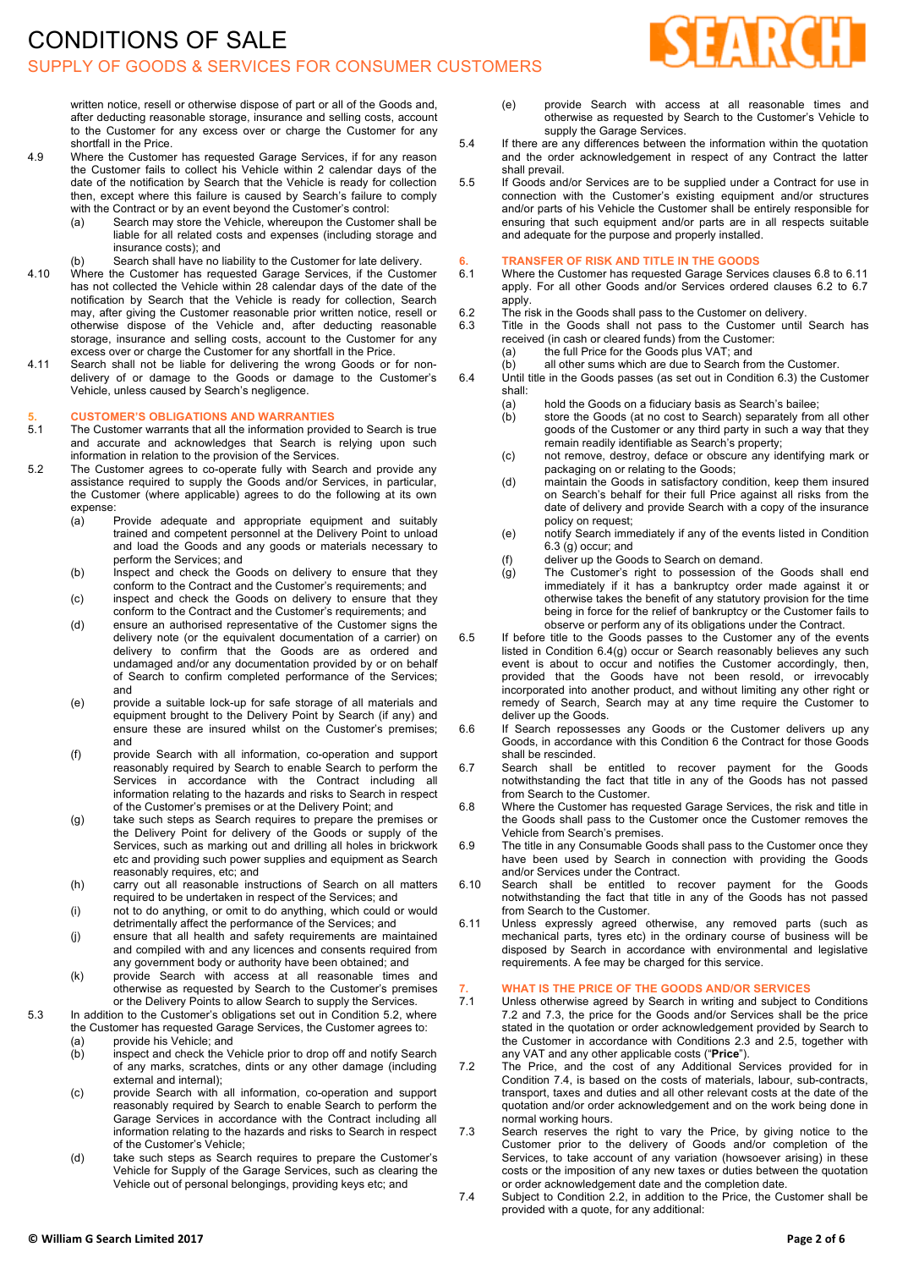# CONDITIONS OF SALE SUPPLY OF GOODS & SERVICES FOR CONSUMER CUSTOMERS



written notice, resell or otherwise dispose of part or all of the Goods and, after deducting reasonable storage, insurance and selling costs, account to the Customer for any excess over or charge the Customer for any shortfall in the Price.

- 4.9 Where the Customer has requested Garage Services, if for any reason the Customer fails to collect his Vehicle within 2 calendar days of the date of the notification by Search that the Vehicle is ready for collection then, except where this failure is caused by Search's failure to comply with the Contract or by an event beyond the Customer's control:
	- (a) Search may store the Vehicle, whereupon the Customer shall be liable for all related costs and expenses (including storage and insurance costs); and
	- (b) Search shall have no liability to the Customer for late delivery.
- 4.10 Where the Customer has requested Garage Services, if the Customer has not collected the Vehicle within 28 calendar days of the date of the notification by Search that the Vehicle is ready for collection, Search may, after giving the Customer reasonable prior written notice, resell or otherwise dispose of the Vehicle and, after deducting reasonable storage, insurance and selling costs, account to the Customer for any excess over or charge the Customer for any shortfall in the Price.
- 4.11 Search shall not be liable for delivering the wrong Goods or for nondelivery of or damage to the Goods or damage to the Customer's Vehicle, unless caused by Search's negligence.

#### **5. CUSTOMER'S OBLIGATIONS AND WARRANTIES**

- 5.1 The Customer warrants that all the information provided to Search is true and accurate and acknowledges that Search is relying upon such information in relation to the provision of the Services.
- 5.2 The Customer agrees to co-operate fully with Search and provide any assistance required to supply the Goods and/or Services, in particular, the Customer (where applicable) agrees to do the following at its own expense:
	- (a) Provide adequate and appropriate equipment and suitably trained and competent personnel at the Delivery Point to unload and load the Goods and any goods or materials necessary to perform the Services; and
	- (b) Inspect and check the Goods on delivery to ensure that they conform to the Contract and the Customer's requirements; and
	- (c) inspect and check the Goods on delivery to ensure that they conform to the Contract and the Customer's requirements; and
	- (d) ensure an authorised representative of the Customer signs the delivery note (or the equivalent documentation of a carrier) on delivery to confirm that the Goods are as ordered and undamaged and/or any documentation provided by or on behalf of Search to confirm completed performance of the Services; and
	- (e) provide a suitable lock-up for safe storage of all materials and equipment brought to the Delivery Point by Search (if any) and ensure these are insured whilst on the Customer's premises; and
	- (f) provide Search with all information, co-operation and support reasonably required by Search to enable Search to perform the Services in accordance with the Contract including all information relating to the hazards and risks to Search in respect of the Customer's premises or at the Delivery Point; and
	- (g) take such steps as Search requires to prepare the premises or the Delivery Point for delivery of the Goods or supply of the Services, such as marking out and drilling all holes in brickwork etc and providing such power supplies and equipment as Search reasonably requires, etc; and
	- (h) carry out all reasonable instructions of Search on all matters required to be undertaken in respect of the Services; and
	- (i) not to do anything, or omit to do anything, which could or would detrimentally affect the performance of the Services; and
	- (j) ensure that all health and safety requirements are maintained and compiled with and any licences and consents required from any government body or authority have been obtained; and
	- (k) provide Search with access at all reasonable times and otherwise as requested by Search to the Customer's premises or the Delivery Points to allow Search to supply the Services.

5.3 In addition to the Customer's obligations set out in Condition 5.2, where the Customer has requested Garage Services, the Customer agrees to:

- (a) provide his Vehicle; and<br>
(b) inspect and check the V
- inspect and check the Vehicle prior to drop off and notify Search of any marks, scratches, dints or any other damage (including external and internal);
- (c) provide Search with all information, co-operation and support reasonably required by Search to enable Search to perform the Garage Services in accordance with the Contract including all information relating to the hazards and risks to Search in respect of the Customer's Vehicle;
- (d) take such steps as Search requires to prepare the Customer's Vehicle for Supply of the Garage Services, such as clearing the Vehicle out of personal belongings, providing keys etc; and
- (e) provide Search with access at all reasonable times and otherwise as requested by Search to the Customer's Vehicle to supply the Garage Services.
- 5.4 If there are any differences between the information within the quotation and the order acknowledgement in respect of any Contract the latter shall prevail.
- 5.5 If Goods and/or Services are to be supplied under a Contract for use in connection with the Customer's existing equipment and/or structures and/or parts of his Vehicle the Customer shall be entirely responsible for ensuring that such equipment and/or parts are in all respects suitable and adequate for the purpose and properly installed.

# **6. TRANSFER OF RISK AND TITLE IN THE GOODS**

- 6.1 Where the Customer has requested Garage Services clauses 6.8 to 6.11 apply. For all other Goods and/or Services ordered clauses 6.2 to 6.7 apply.
- 6.2 The risk in the Goods shall pass to the Customer on delivery.<br>6.3 Title in the Goods shall not pass to the Customer until
- Title in the Goods shall not pass to the Customer until Search has received (in cash or cleared funds) from the Customer:
	- (a) the full Price for the Goods plus VAT; and
	- (b) all other sums which are due to Search from the Customer.
- 6.4 Until title in the Goods passes (as set out in Condition 6.3) the Customer shall:
	- (a) hold the Goods on a fiduciary basis as Search's bailee;
	- (b) store the Goods (at no cost to Search) separately from all other goods of the Customer or any third party in such a way that they remain readily identifiable as Search's property;
	- (c) not remove, destroy, deface or obscure any identifying mark or packaging on or relating to the Goods;
	- (d) maintain the Goods in satisfactory condition, keep them insured on Search's behalf for their full Price against all risks from the date of delivery and provide Search with a copy of the insurance policy on request;
	- (e) notify Search immediately if any of the events listed in Condition  $6.3$  (q) occur; and
	- (f) deliver up the Goods to Search on demand.
	- (g) The Customer's right to possession of the Goods shall end immediately if it has a bankruptcy order made against it or otherwise takes the benefit of any statutory provision for the time being in force for the relief of bankruptcy or the Customer fails to observe or perform any of its obligations under the Contract.
- 6.5 If before title to the Goods passes to the Customer any of the events listed in Condition 6.4(g) occur or Search reasonably believes any such event is about to occur and notifies the Customer accordingly, then, provided that the Goods have not been resold, or irrevocably incorporated into another product, and without limiting any other right or remedy of Search, Search may at any time require the Customer to deliver up the Goods.
- 6.6 If Search repossesses any Goods or the Customer delivers up any Goods, in accordance with this Condition 6 the Contract for those Goods shall be rescinded.
- 6.7 Search shall be entitled to recover payment for the Goods notwithstanding the fact that title in any of the Goods has not passed from Search to the Customer.
- 6.8 Where the Customer has requested Garage Services, the risk and title in the Goods shall pass to the Customer once the Customer removes the Vehicle from Search's premises.
- 6.9 The title in any Consumable Goods shall pass to the Customer once they have been used by Search in connection with providing the Goods and/or Services under the Contract.
- 6.10 Search shall be entitled to recover payment for the Goods notwithstanding the fact that title in any of the Goods has not passed from Search to the Customer.
- 6.11 Unless expressly agreed otherwise, any removed parts (such as mechanical parts, tyres etc) in the ordinary course of business will be disposed by Search in accordance with environmental and legislative requirements. A fee may be charged for this service.

### **7. WHAT IS THE PRICE OF THE GOODS AND/OR SERVICES**

- Unless otherwise agreed by Search in writing and subject to Conditions 7.2 and 7.3, the price for the Goods and/or Services shall be the price stated in the quotation or order acknowledgement provided by Search to the Customer in accordance with Conditions 2.3 and 2.5, together with any VAT and any other applicable costs ("**Price**").
- 7.2 The Price, and the cost of any Additional Services provided for in Condition 7.4, is based on the costs of materials, labour, sub-contracts, transport, taxes and duties and all other relevant costs at the date of the quotation and/or order acknowledgement and on the work being done in normal working hours.
- 7.3 Search reserves the right to vary the Price, by giving notice to the Customer prior to the delivery of Goods and/or completion of the Services, to take account of any variation (howsoever arising) in these costs or the imposition of any new taxes or duties between the quotation or order acknowledgement date and the completion date.
- 7.4 Subject to Condition 2.2, in addition to the Price, the Customer shall be provided with a quote, for any additional: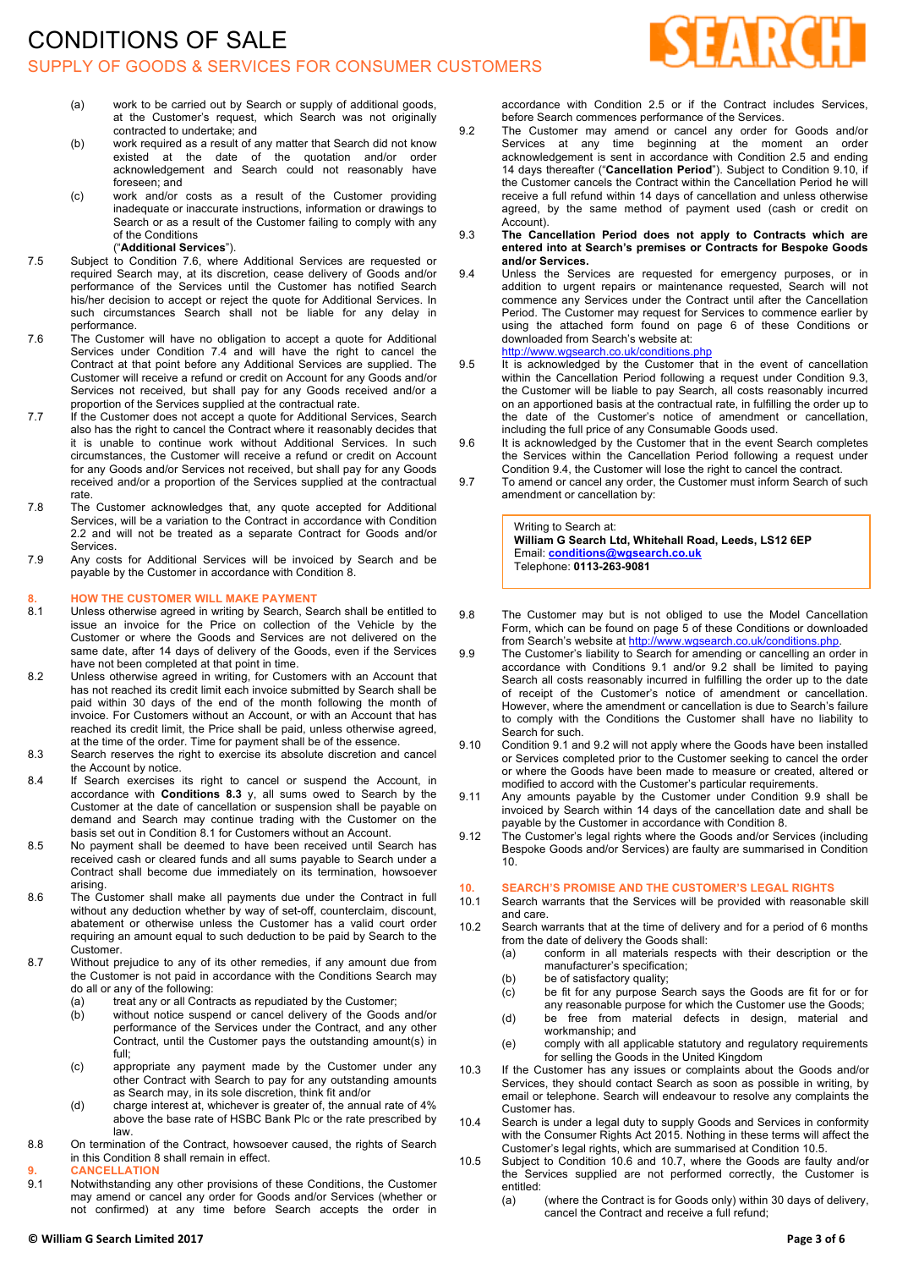

- (a) work to be carried out by Search or supply of additional goods, at the Customer's request, which Search was not originally contracted to undertake; and
- (b) work required as a result of any matter that Search did not know existed at the date of the quotation and/or order acknowledgement and Search could not reasonably have foreseen; and
- (c) work and/or costs as a result of the Customer providing inadequate or inaccurate instructions, information or drawings to Search or as a result of the Customer failing to comply with any of the Conditions

#### ("**Additional Services**").

- 7.5 Subject to Condition 7.6, where Additional Services are requested or required Search may, at its discretion, cease delivery of Goods and/or performance of the Services until the Customer has notified Search his/her decision to accept or reject the quote for Additional Services. In such circumstances Search shall not be liable for any delay in performance.
- 7.6 The Customer will have no obligation to accept a quote for Additional Services under Condition 7.4 and will have the right to cancel the Contract at that point before any Additional Services are supplied. The Customer will receive a refund or credit on Account for any Goods and/or Services not received, but shall pay for any Goods received and/or a proportion of the Services supplied at the contractual rate.
- 7.7 If the Customer does not accept a quote for Additional Services, Search also has the right to cancel the Contract where it reasonably decides that it is unable to continue work without Additional Services. In such circumstances, the Customer will receive a refund or credit on Account for any Goods and/or Services not received, but shall pay for any Goods received and/or a proportion of the Services supplied at the contractual rate.
- 7.8 The Customer acknowledges that, any quote accepted for Additional Services, will be a variation to the Contract in accordance with Condition 2.2 and will not be treated as a separate Contract for Goods and/or **Services**
- 7.9 Any costs for Additional Services will be invoiced by Search and be payable by the Customer in accordance with Condition 8.

#### **8. HOW THE CUSTOMER WILL MAKE PAYMENT**

- 8.1 Unless otherwise agreed in writing by Search, Search shall be entitled to issue an invoice for the Price on collection of the Vehicle by the Customer or where the Goods and Services are not delivered on the same date, after 14 days of delivery of the Goods, even if the Services have not been completed at that point in time.
- 8.2 Unless otherwise agreed in writing, for Customers with an Account that has not reached its credit limit each invoice submitted by Search shall be paid within 30 days of the end of the month following the month of invoice. For Customers without an Account, or with an Account that has reached its credit limit, the Price shall be paid, unless otherwise agreed, at the time of the order. Time for payment shall be of the essence.
- 8.3 Search reserves the right to exercise its absolute discretion and cancel the Account by notice.
- 8.4 If Search exercises its right to cancel or suspend the Account, in accordance with **Conditions 8.3** y, all sums owed to Search by the Customer at the date of cancellation or suspension shall be payable on demand and Search may continue trading with the Customer on the basis set out in Condition 8.1 for Customers without an Account.
- 8.5 No payment shall be deemed to have been received until Search has received cash or cleared funds and all sums payable to Search under a Contract shall become due immediately on its termination, howsoever arising.
- 8.6 The Customer shall make all payments due under the Contract in full without any deduction whether by way of set-off, counterclaim, discount, abatement or otherwise unless the Customer has a valid court order requiring an amount equal to such deduction to be paid by Search to the Customer.
- 8.7 Without prejudice to any of its other remedies, if any amount due from the Customer is not paid in accordance with the Conditions Search may do all or any of the following:
	- (a) treat any or all Contracts as repudiated by the Customer;<br>(b) without notice suspend or cancel delivery of the Goods
	- without notice suspend or cancel delivery of the Goods and/or performance of the Services under the Contract, and any other Contract, until the Customer pays the outstanding amount(s) in full;
	- (c) appropriate any payment made by the Customer under any other Contract with Search to pay for any outstanding amounts as Search may, in its sole discretion, think fit and/or
	- (d) charge interest at, whichever is greater of, the annual rate of 4% above the base rate of HSBC Bank Plc or the rate prescribed by law.
- 8.8 On termination of the Contract, howsoever caused, the rights of Search in this Condition 8 shall remain in effect.
- **9. CANCELLATION**
- Notwithstanding any other provisions of these Conditions, the Customer may amend or cancel any order for Goods and/or Services (whether or not confirmed) at any time before Search accepts the order in

accordance with Condition 2.5 or if the Contract includes Services, before Search commences performance of the Services.

- 9.2 The Customer may amend or cancel any order for Goods and/or Services at any time beginning at the moment an order acknowledgement is sent in accordance with Condition 2.5 and ending 14 days thereafter ("**Cancellation Period**"). Subject to Condition 9.10, if the Customer cancels the Contract within the Cancellation Period he will receive a full refund within 14 days of cancellation and unless otherwise agreed, by the same method of payment used (cash or credit on Account).
- 9.3 **The Cancellation Period does not apply to Contracts which are entered into at Search's premises or Contracts for Bespoke Goods and/or Services.**
- 9.4 Unless the Services are requested for emergency purposes, or in addition to urgent repairs or maintenance requested, Search will not commence any Services under the Contract until after the Cancellation Period. The Customer may request for Services to commence earlier by using the attached form found on page 6 of these Conditions or downloaded from Search's website at:
	- http://www.wgsearch.co.uk/conditions.php
- 9.5 It is acknowledged by the Customer that in the event of cancellation within the Cancellation Period following a request under Condition 9.3, the Customer will be liable to pay Search, all costs reasonably incurred on an apportioned basis at the contractual rate, in fulfilling the order up to the date of the Customer's notice of amendment or cancellation, including the full price of any Consumable Goods used.
- 9.6 It is acknowledged by the Customer that in the event Search completes the Services within the Cancellation Period following a request under Condition 9.4, the Customer will lose the right to cancel the contract.
- 9.7 To amend or cancel any order, the Customer must inform Search of such amendment or cancellation by:

Writing to Search at: **William G Search Ltd, Whitehall Road, Leeds, LS12 6EP** Email: **conditions@wgsearch.co.uk** Telephone: **0113-263-9081**

- 9.8 The Customer may but is not obliged to use the Model Cancellation Form, which can be found on page 5 of these Conditions or downloaded from Search's website at http://www.wgsearch.co.uk/conditions.php
- 9.9 The Customer's liability to Search for amending or cancelling an order in accordance with Conditions 9.1 and/or 9.2 shall be limited to paying Search all costs reasonably incurred in fulfilling the order up to the date of receipt of the Customer's notice of amendment or cancellation. However, where the amendment or cancellation is due to Search's failure to comply with the Conditions the Customer shall have no liability to Search for such.
- 9.10 Condition 9.1 and 9.2 will not apply where the Goods have been installed or Services completed prior to the Customer seeking to cancel the order or where the Goods have been made to measure or created, altered or modified to accord with the Customer's particular requirements.
- 9.11 Any amounts payable by the Customer under Condition 9.9 shall be invoiced by Search within 14 days of the cancellation date and shall be payable by the Customer in accordance with Condition 8.
- 9.12 The Customer's legal rights where the Goods and/or Services (including Bespoke Goods and/or Services) are faulty are summarised in Condition 10.

# **10. SEARCH'S PROMISE AND THE CUSTOMER'S LEGAL RIGHTS**

- Search warrants that the Services will be provided with reasonable skill and care.
- 10.2 Search warrants that at the time of delivery and for a period of 6 months from the date of delivery the Goods shall:
	- (a) conform in all materials respects with their description or the manufacturer's specification;
	- (b) be of satisfactory quality;
	- (c) be fit for any purpose Search says the Goods are fit for or for
	- any reasonable purpose for which the Customer use the Goods; (d) be free from material defects in design, material and
	- workmanship; and (e) comply with all applicable statutory and regulatory requirements for selling the Goods in the United Kingdom
- 10.3 If the Customer has any issues or complaints about the Goods and/or Services, they should contact Search as soon as possible in writing, by email or telephone. Search will endeavour to resolve any complaints the Customer has.
- 10.4 Search is under a legal duty to supply Goods and Services in conformity with the Consumer Rights Act 2015. Nothing in these terms will affect the Customer's legal rights, which are summarised at Condition 10.5.
- 10.5 Subject to Condition 10.6 and 10.7, where the Goods are faulty and/or the Services supplied are not performed correctly, the Customer is entitled:
	- (a) (where the Contract is for Goods only) within 30 days of delivery, cancel the Contract and receive a full refund;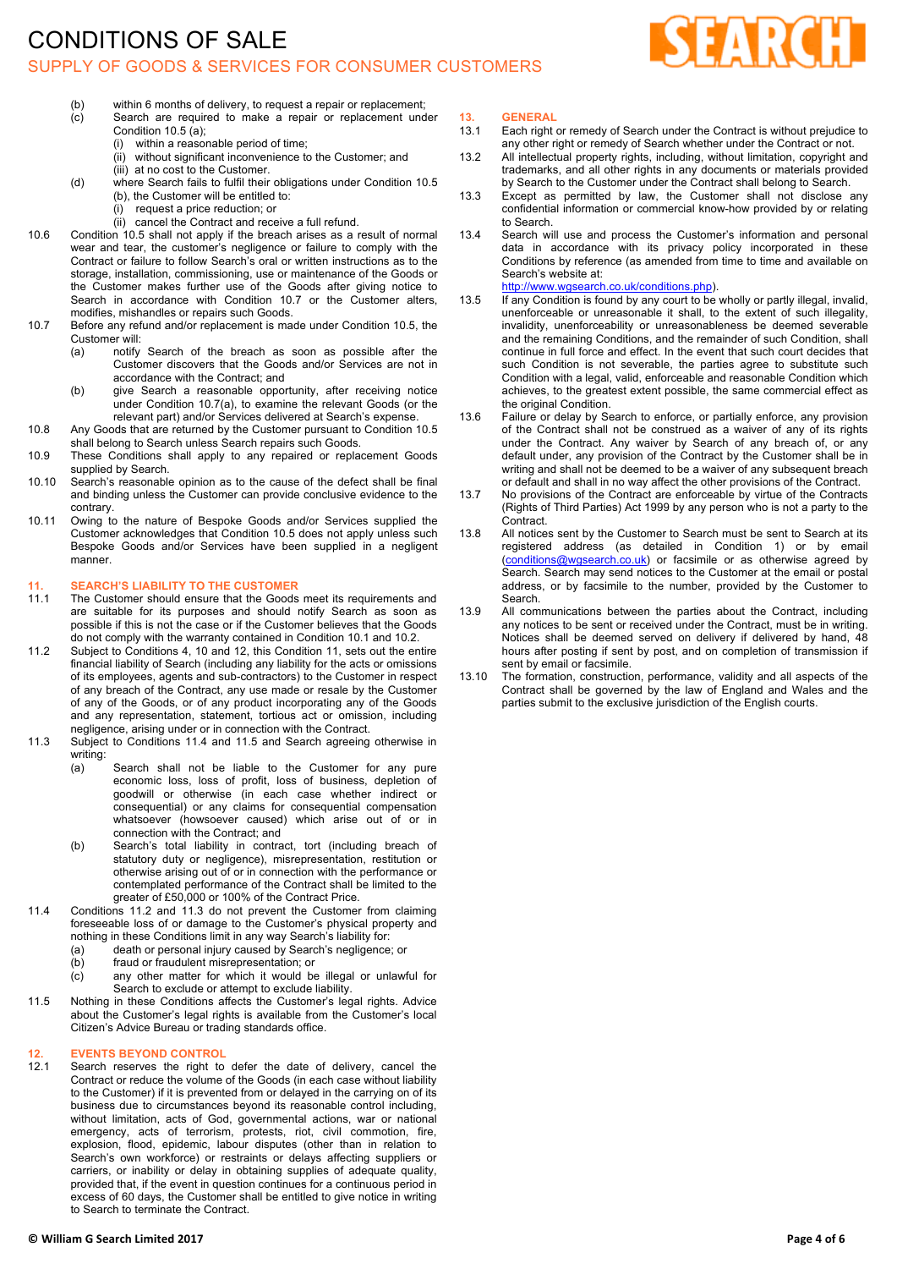### CONDITIONS OF SALE SUPPLY OF GOODS & SERVICES FOR CONSUMER CUSTOMERS



- (b) within 6 months of delivery, to request a repair or replacement;
- (c) Search are required to make a repair or replacement under Condition 10.5 (a);
	- (i) within a reasonable period of time;
	- (ii) without significant inconvenience to the Customer; and (iii) at no cost to the Customer.
- (d) where Search fails to fulfil their obligations under Condition 10.5 (b), the Customer will be entitled to:
	- (i) request a price reduction; or
	- (ii) cancel the Contract and receive a full refund.
- 10.6 Condition 10.5 shall not apply if the breach arises as a result of normal wear and tear, the customer's negligence or failure to comply with the Contract or failure to follow Search's oral or written instructions as to the storage, installation, commissioning, use or maintenance of the Goods or the Customer makes further use of the Goods after giving notice to Search in accordance with Condition 10.7 or the Customer alters, modifies, mishandles or repairs such Goods.
- 10.7 Before any refund and/or replacement is made under Condition 10.5, the Customer will:
	- (a) notify Search of the breach as soon as possible after the Customer discovers that the Goods and/or Services are not in accordance with the Contract; and
	- (b) give Search a reasonable opportunity, after receiving notice under Condition 10.7(a), to examine the relevant Goods (or the relevant part) and/or Services delivered at Search's expense.
- 10.8 Any Goods that are returned by the Customer pursuant to Condition 10.5 shall belong to Search unless Search repairs such Goods.
- 10.9 These Conditions shall apply to any repaired or replacement Goods supplied by Search.
- 10.10 Search's reasonable opinion as to the cause of the defect shall be final and binding unless the Customer can provide conclusive evidence to the contrary.
- 10.11 Owing to the nature of Bespoke Goods and/or Services supplied the Customer acknowledges that Condition 10.5 does not apply unless such Bespoke Goods and/or Services have been supplied in a negligent manner.

### **11. SEARCH'S LIABILITY TO THE CUSTOMER**

- The Customer should ensure that the Goods meet its requirements and are suitable for its purposes and should notify Search as soon as possible if this is not the case or if the Customer believes that the Goods do not comply with the warranty contained in Condition 10.1 and 10.2.
- 11.2 Subject to Conditions 4, 10 and 12, this Condition 11, sets out the entire financial liability of Search (including any liability for the acts or omissions of its employees, agents and sub-contractors) to the Customer in respect of any breach of the Contract, any use made or resale by the Customer of any of the Goods, or of any product incorporating any of the Goods and any representation, statement, tortious act or omission, including negligence, arising under or in connection with the Contract.
- 11.3 Subject to Conditions 11.4 and 11.5 and Search agreeing otherwise in writing:
	- (a) Search shall not be liable to the Customer for any pure economic loss, loss of profit, loss of business, depletion of goodwill or otherwise (in each case whether indirect or consequential) or any claims for consequential compensation whatsoever (howsoever caused) which arise out of or in connection with the Contract; and
	- (b) Search's total liability in contract, tort (including breach of statutory duty or negligence), misrepresentation, restitution or otherwise arising out of or in connection with the performance or contemplated performance of the Contract shall be limited to the greater of £50,000 or 100% of the Contract Price.
- 11.4 Conditions 11.2 and 11.3 do not prevent the Customer from claiming foreseeable loss of or damage to the Customer's physical property and nothing in these Conditions limit in any way Search's liability for:
	- (a) death or personal injury caused by Search's negligence; or
	- (b) fraud or fraudulent misrepresentation; or
	- (c) any other matter for which it would be illegal or unlawful for Search to exclude or attempt to exclude liability.
- 11.5 Nothing in these Conditions affects the Customer's legal rights. Advice about the Customer's legal rights is available from the Customer's local Citizen's Advice Bureau or trading standards office.

# **12. EVENTS BEYOND CONTROL**

Search reserves the right to defer the date of delivery, cancel the Contract or reduce the volume of the Goods (in each case without liability to the Customer) if it is prevented from or delayed in the carrying on of its business due to circumstances beyond its reasonable control including, without limitation, acts of God, governmental actions, war or national emergency, acts of terrorism, protests, riot, civil commotion, fire, explosion, flood, epidemic, labour disputes (other than in relation to Search's own workforce) or restraints or delays affecting suppliers or carriers, or inability or delay in obtaining supplies of adequate quality, provided that, if the event in question continues for a continuous period in excess of 60 days, the Customer shall be entitled to give notice in writing to Search to terminate the Contract.

#### **© William G Search Limited 2017 Page 4 of 6**

- **13. GENERAL** Each right or remedy of Search under the Contract is without prejudice to any other right or remedy of Search whether under the Contract or not.
- 13.2 All intellectual property rights, including, without limitation, copyright and trademarks, and all other rights in any documents or materials provided by Search to the Customer under the Contract shall belong to Search.
- 13.3 Except as permitted by law, the Customer shall not disclose any confidential information or commercial know-how provided by or relating to Search.
- 13.4 Search will use and process the Customer's information and personal data in accordance with its privacy policy incorporated in these Conditions by reference (as amended from time to time and available on Search's website at: http://www.wgsearch.co.uk/conditions.php).
- 13.5 If any Condition is found by any court to be wholly or partly illegal, invalid, unenforceable or unreasonable it shall, to the extent of such illegality, invalidity, unenforceability or unreasonableness be deemed severable and the remaining Conditions, and the remainder of such Condition, shall continue in full force and effect. In the event that such court decides that such Condition is not severable, the parties agree to substitute such Condition with a legal, valid, enforceable and reasonable Condition which achieves, to the greatest extent possible, the same commercial effect as
- the original Condition. 13.6 Failure or delay by Search to enforce, or partially enforce, any provision of the Contract shall not be construed as a waiver of any of its rights under the Contract. Any waiver by Search of any breach of, or any default under, any provision of the Contract by the Customer shall be in writing and shall not be deemed to be a waiver of any subsequent breach or default and shall in no way affect the other provisions of the Contract.
- 13.7 No provisions of the Contract are enforceable by virtue of the Contracts (Rights of Third Parties) Act 1999 by any person who is not a party to the Contract.
- 13.8 All notices sent by the Customer to Search must be sent to Search at its registered address (as detailed in Condition 1) or by email (conditions@wgsearch.co.uk) or facsimile or as otherwise agreed by Search. Search may send notices to the Customer at the email or postal address, or by facsimile to the number, provided by the Customer to Search.
- 13.9 All communications between the parties about the Contract, including any notices to be sent or received under the Contract, must be in writing. Notices shall be deemed served on delivery if delivered by hand, 48 hours after posting if sent by post, and on completion of transmission if sent by email or facsimile.
- 13.10 The formation, construction, performance, validity and all aspects of the Contract shall be governed by the law of England and Wales and the parties submit to the exclusive jurisdiction of the English courts.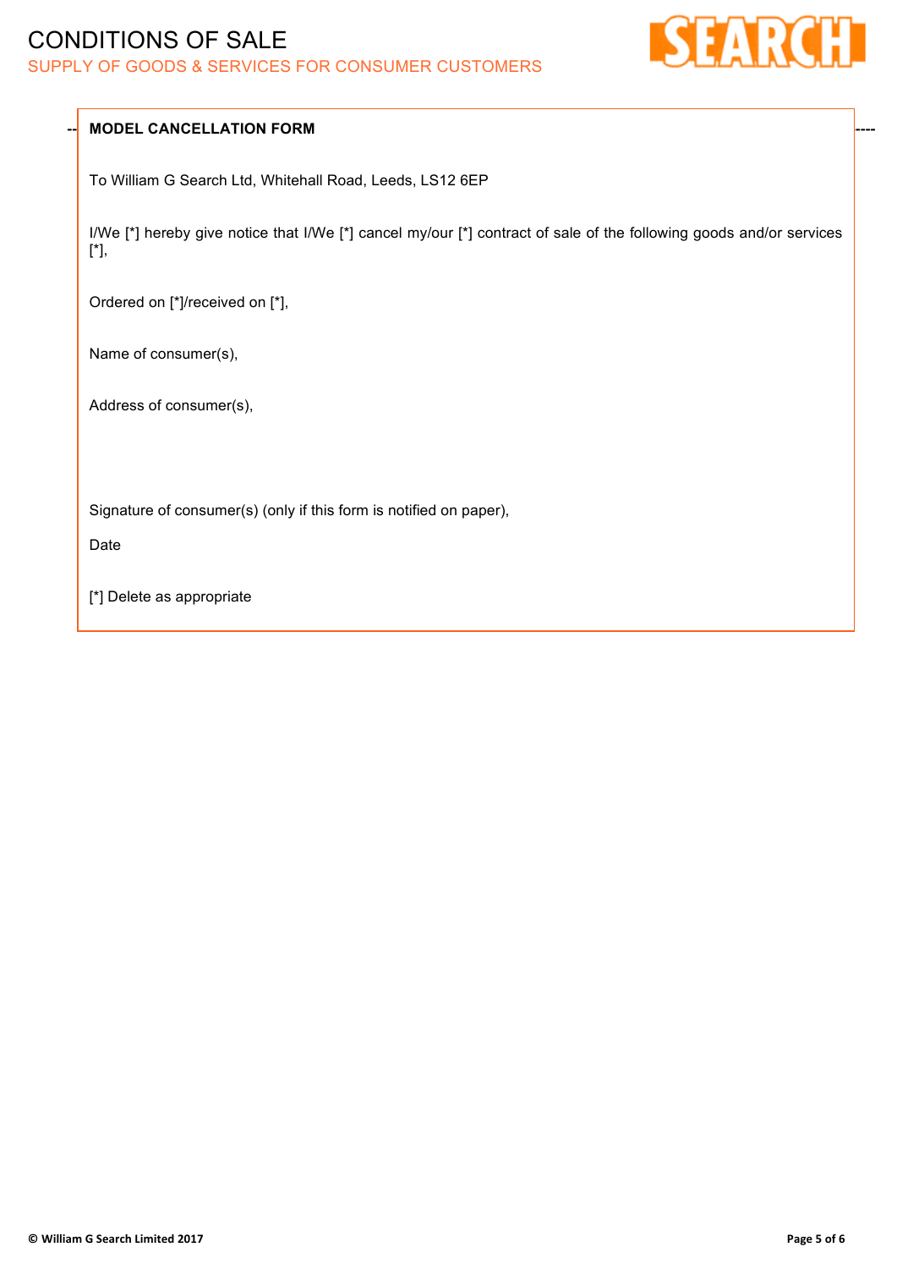# CONDITIONS OF SALE SUPPLY OF GOODS & SERVICES FOR CONSUMER CUSTOMERS



### **MODEL CANCELLATION FORM**

To William G Search Ltd, Whitehall Road, Leeds, LS12 6EP

I/We [\*] hereby give notice that I/We [\*] cancel my/our [\*] contract of sale of the following goods and/or services [\*],

Ordered on [\*]/received on [\*],

Name of consumer(s),

Address of consumer(s),

Signature of consumer(s) (only if this form is notified on paper),

Date

[\*] Delete as appropriate